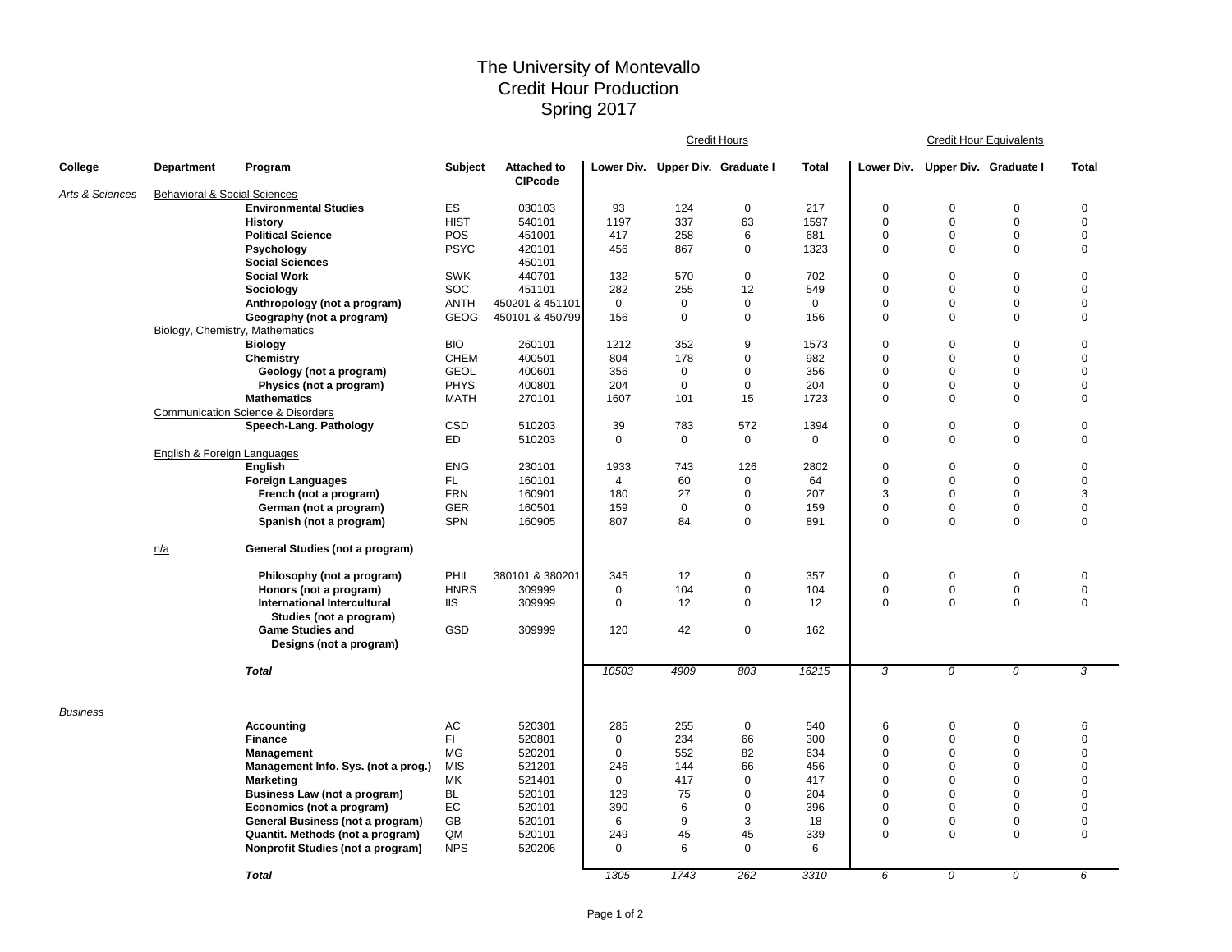## The University of Montevallo Credit Hour Production Spring 2017

|                 |                                         |                                                    |                |                                      | <b>Credit Hours</b>        |                                  |                    |              |               | <b>Credit Hour Equivalents</b>   |                            |               |  |
|-----------------|-----------------------------------------|----------------------------------------------------|----------------|--------------------------------------|----------------------------|----------------------------------|--------------------|--------------|---------------|----------------------------------|----------------------------|---------------|--|
| College         | <b>Department</b>                       | Program                                            | <b>Subject</b> | <b>Attached to</b><br><b>CIPcode</b> |                            | Lower Div. Upper Div. Graduate I |                    | <b>Total</b> |               | Lower Div. Upper Div. Graduate I |                            | <b>Total</b>  |  |
| Arts & Sciences | <b>Behavioral &amp; Social Sciences</b> |                                                    |                |                                      |                            |                                  |                    |              |               |                                  |                            |               |  |
|                 |                                         | <b>Environmental Studies</b>                       | ES             | 030103                               | 93                         | 124                              | $\mathbf 0$        | 217          | $\mathbf 0$   | 0                                | $\mathbf 0$                | 0             |  |
|                 |                                         | <b>History</b>                                     | <b>HIST</b>    | 540101                               | 1197                       | 337                              | 63                 | 1597         | $\mathbf 0$   | $\mathbf 0$                      | $\mathbf 0$                | $\Omega$      |  |
|                 |                                         | <b>Political Science</b>                           | POS            | 451001                               | 417                        | 258                              | 6                  | 681          | $\mathbf 0$   | 0                                | 0                          | 0             |  |
|                 |                                         | Psychology                                         | <b>PSYC</b>    | 420101                               | 456                        | 867                              | $\mathbf 0$        | 1323         | $\mathbf 0$   | $\mathbf 0$                      | $\mathbf 0$                | $\mathbf 0$   |  |
|                 |                                         | <b>Social Sciences</b>                             |                | 450101                               |                            |                                  |                    |              |               |                                  |                            |               |  |
|                 |                                         | <b>Social Work</b>                                 | <b>SWK</b>     | 440701                               | 132                        | 570                              | $\mathbf 0$        | 702          | $\mathbf 0$   | $\mathbf 0$                      | $\mathbf 0$                | $\mathbf 0$   |  |
|                 |                                         | Sociology                                          | <b>SOC</b>     | 451101                               | 282                        | 255                              | 12                 | 549          | $\Omega$      | 0                                | $\mathbf 0$                | $\Omega$      |  |
|                 |                                         | Anthropology (not a program)                       | ANTH           | 450201 & 451101                      | $\mathbf 0$                | 0                                | $\mathbf 0$        | $\mathbf 0$  | $\mathbf 0$   | $\mathbf 0$                      | $\mathbf 0$                | $\mathbf 0$   |  |
|                 | Biology, Chemistry, Mathematics         | Geography (not a program)                          | <b>GEOG</b>    | 450101 & 450799                      | 156                        | 0                                | $\mathbf 0$        | 156          | $\Omega$      | 0                                | $\Omega$                   | 0             |  |
|                 |                                         | <b>Biology</b>                                     | <b>BIO</b>     | 260101                               | 1212                       | 352                              | 9                  | 1573         | $\Omega$      | $\mathbf 0$                      | $\mathbf 0$                | $\mathbf 0$   |  |
|                 |                                         | Chemistry                                          | <b>CHEM</b>    | 400501                               | 804                        | 178                              | $\mathbf 0$        | 982          | $\mathbf 0$   | $\mathbf 0$                      | $\mathbf 0$                | $\mathbf 0$   |  |
|                 |                                         | Geology (not a program)                            | <b>GEOL</b>    | 400601                               | 356                        | $\mathbf 0$                      | $\mathbf 0$        | 356          | $\Omega$      | $\mathbf 0$                      | $\Omega$                   | $\Omega$      |  |
|                 |                                         | Physics (not a program)                            | <b>PHYS</b>    | 400801                               | 204                        | $\mathbf 0$                      | 0                  | 204          | $\mathbf 0$   | 0                                | 0                          | 0             |  |
|                 |                                         | <b>Mathematics</b>                                 | <b>MATH</b>    | 270101                               | 1607                       | 101                              | 15                 | 1723         | $\mathbf 0$   | $\mathbf 0$                      | $\Omega$                   | $\mathbf 0$   |  |
|                 |                                         | <b>Communication Science &amp; Disorders</b>       |                |                                      |                            |                                  |                    |              |               |                                  |                            |               |  |
|                 |                                         | Speech-Lang. Pathology                             | CSD            | 510203                               | 39                         | 783                              | 572                | 1394         | $\mathsf 0$   | $\pmb{0}$                        | $\pmb{0}$                  | 0             |  |
|                 |                                         |                                                    | ED             | 510203                               | 0                          | 0                                | 0                  | 0            | 0             | $\mathbf 0$                      | $\mathbf 0$                | 0             |  |
|                 | English & Foreign Languages             |                                                    | <b>ENG</b>     |                                      | 1933                       | 743                              |                    | 2802         | $\mathbf 0$   | 0                                | $\mathbf 0$                | 0             |  |
|                 |                                         | English                                            | FL.            | 230101<br>160101                     | $\overline{4}$             | 60                               | 126<br>$\mathbf 0$ | 64           | $\Omega$      | $\mathbf 0$                      | $\mathbf 0$                | $\Omega$      |  |
|                 |                                         | <b>Foreign Languages</b><br>French (not a program) | <b>FRN</b>     | 160901                               | 180                        | 27                               | $\mathbf 0$        | 207          | 3             | 0                                | 0                          | 3             |  |
|                 |                                         | German (not a program)                             | GER            | 160501                               | 159                        | $\mathbf 0$                      | $\mathbf 0$        | 159          | $\Omega$      | $\mathbf 0$                      | $\mathbf 0$                | 0             |  |
|                 |                                         | Spanish (not a program)                            | <b>SPN</b>     | 160905                               | 807                        | 84                               | $\mathbf 0$        | 891          | $\Omega$      | $\Omega$                         | $\Omega$                   | $\mathbf 0$   |  |
|                 | n/a                                     | General Studies (not a program)                    |                |                                      |                            |                                  |                    |              |               |                                  |                            |               |  |
|                 |                                         | Philosophy (not a program)                         | PHIL           | 380101 & 380201                      | 345                        | 12                               | $\mathbf 0$        | 357          | $\mathbf 0$   | 0                                | $\mathbf 0$                | 0             |  |
|                 |                                         | Honors (not a program)                             | <b>HNRS</b>    | 309999                               | 0                          | 104                              | $\mathbf 0$        | 104          | $\mathsf 0$   | 0                                | 0                          | 0             |  |
|                 |                                         | International Intercultural                        | <b>IIS</b>     | 309999                               | 0                          | 12                               | $\mathbf 0$        | 12           | $\Omega$      | $\Omega$                         | $\Omega$                   | $\mathbf 0$   |  |
|                 |                                         | Studies (not a program)                            |                |                                      |                            |                                  |                    |              |               |                                  |                            |               |  |
|                 |                                         | <b>Game Studies and</b><br>Designs (not a program) | GSD            | 309999                               | 120                        | 42                               | $\pmb{0}$          | 162          |               |                                  |                            |               |  |
|                 |                                         | <b>Total</b>                                       |                |                                      | 10503                      | 4909                             | 803                | 16215        | 3             | 0                                | 0                          | 3             |  |
|                 |                                         |                                                    |                |                                      |                            |                                  |                    |              |               |                                  |                            |               |  |
| <b>Business</b> |                                         |                                                    |                |                                      |                            |                                  |                    |              |               |                                  |                            |               |  |
|                 |                                         | <b>Accounting</b>                                  | AC<br>FI.      | 520301                               | 285                        | 255<br>234                       | $\mathbf 0$<br>66  | 540<br>300   | 6<br>$\Omega$ | $\mathbf 0$<br>$\mathbf 0$       | $\mathbf 0$<br>$\mathbf 0$ | 6<br>$\Omega$ |  |
|                 |                                         | <b>Finance</b>                                     | MG             | 520801<br>520201                     | $\mathbf 0$<br>$\mathbf 0$ | 552                              | 82                 | 634          | $\Omega$      | $\mathbf 0$                      | $\mathbf 0$                | $\mathbf 0$   |  |
|                 |                                         | Management<br>Management Info. Sys. (not a prog.)  | <b>MIS</b>     | 521201                               | 246                        | 144                              | 66                 | 456          | $\Omega$      | $\mathbf 0$                      | $\mathbf 0$                | $\Omega$      |  |
|                 |                                         | <b>Marketing</b>                                   | МK             | 521401                               | $\mathbf 0$                | 417                              | $\mathbf 0$        | 417          | $\Omega$      | $\mathbf 0$                      | $\mathbf 0$                | $\Omega$      |  |
|                 |                                         | Business Law (not a program)                       | BL.            | 520101                               | 129                        | 75                               | $\mathbf 0$        | 204          | $\Omega$      | $\mathbf 0$                      | $\mathbf 0$                | $\mathbf 0$   |  |
|                 |                                         | Economics (not a program)                          | EC             | 520101                               | 390                        | 6                                | $\mathbf 0$        | 396          | $\Omega$      | $\mathbf 0$                      | $\mathbf 0$                | $\Omega$      |  |
|                 |                                         | General Business (not a program)                   | GB             | 520101                               | 6                          | 9                                | 3                  | 18           | $\mathbf 0$   | 0                                | $\mathbf 0$                | $\Omega$      |  |
|                 |                                         | Quantit. Methods (not a program)                   | QM             | 520101                               | 249                        | 45                               | 45                 | 339          | $\Omega$      | $\mathbf 0$                      | $\mathbf 0$                | $\mathbf 0$   |  |
|                 |                                         | Nonprofit Studies (not a program)                  | <b>NPS</b>     | 520206                               | 0                          | 6                                | $\mathbf 0$        | 6            |               |                                  |                            |               |  |
|                 |                                         | <b>Total</b>                                       |                |                                      | 1305                       | 1743                             | 262                | 3310         | 6             | $\Omega$                         | $\Omega$                   | 6             |  |